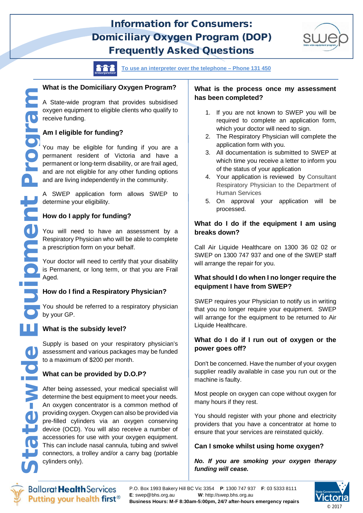# **Information for Consumers: Domiciliary Oxygen Program (DOP) Frequently Asked Questions**



**To use an interpreter over the telephone – Phone 131 450** 

# **What is the Domiciliary Oxygen Program?**

A State-wide program that provides subsidised oxygen equipment to eligible clients who qualify to receive funding.

# **Am I eligible for funding?**

You may be eligible for funding if you are a permanent resident of Victoria and have a permanent or long-term disability, or are frail aged, and are not eligible for any other funding options and are living independently in the community.

A SWEP application form allows SWEP to determine your eligibility.

# **How do I apply for funding?**

You will need to have an assessment by a Respiratory Physician who will be able to complete a prescription form on your behalf.

Your doctor will need to certify that your disability is Permanent, or long term, or that you are Frail Aged.

# **How do I find a Respiratory Physician?**

You should be referred to a respiratory physician by your GP.

#### **What is the subsidy level?**

Supply is based on your respiratory physician's assessment and various packages may be funded to a maximum of \$200 per month.

#### **What can be provided by D.O.P?**

After being assessed, your medical specialist will determine the best equipment to meet your needs. An oxygen concentrator is a common method of providing oxygen. Oxygen can also be provided via pre-filled cylinders via an oxygen conserving device (OCD). You will also receive a number of accessories for use with your oxygen equipment. This can include nasal cannula, tubing and swivel connectors, a trolley and/or a carry bag (portable cylinders only).

#### **What is the process once my assessment has been completed?**

- 1. If you are not known to SWEP you will be required to complete an application form, which your doctor will need to sign.
- 2. The Respiratory Physician will complete the application form with you.
- 3. All documentation is submitted to SWEP at which time you receive a letter to inform you of the status of your application
- 4. Your application is reviewed by Consultant Respiratory Physician to the Department of Human Services
- 5. On approval your application will be processed.

#### **What do I do if the equipment I am using breaks down?**

Call Air Liquide Healthcare on 1300 36 02 02 or SWEP on 1300 747 937 and one of the SWEP staff will arrange the repair for you.

#### **What should I do when I no longer require the equipment I have from SWEP?**

SWEP requires your Physician to notify us in writing that you no longer require your equipment. SWEP will arrange for the equipment to be returned to Air Liquide Healthcare.

#### **What do I do if I run out of oxygen or the power goes off?**

Don't be concerned. Have the number of your oxygen supplier readily available in case you run out or the machine is faulty.

Most people on oxygen can cope without oxygen for many hours if they rest.

You should register with your phone and electricity providers that you have a concentrator at home to ensure that your services are reinstated quickly.

#### **Can I smoke whilst using home oxygen?**

*No. If you are smoking your oxygen therapy funding will cease.* 



**Ballarat Health Services** Putting your health first<sup>®</sup>

P.O. Box 1993 Bakery Hill BC Vic 3354 **P**: 1300 747 937 **F**: 03 5333 8111 **E**: swep@bhs.org.au **W**: http://swep.bhs.org.au **Business Hours: M-F 8:30am-5:00pm, 24/7 after-hours emergency repairs**